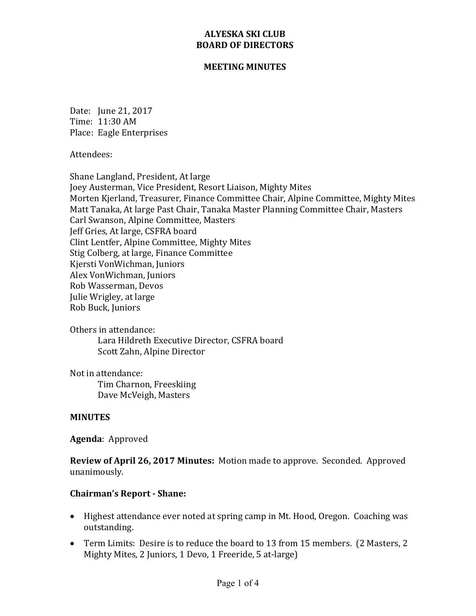#### **MEETING MINUTES**

Date: June 21, 2017 Time: 11:30 AM Place: Eagle Enterprises

Attendees:

Shane Langland, President, At large Joey Austerman, Vice President, Resort Liaison, Mighty Mites Morten Kjerland, Treasurer, Finance Committee Chair, Alpine Committee, Mighty Mites Matt Tanaka, At large Past Chair, Tanaka Master Planning Committee Chair, Masters Carl Swanson, Alpine Committee, Masters Jeff Gries, At large, CSFRA board Clint Lentfer, Alpine Committee, Mighty Mites Stig Colberg, at large, Finance Committee Kjersti VonWichman, Juniors Alex VonWichman, Juniors Rob Wasserman, Devos Julie Wrigley, at large Rob Buck, Juniors

Others in attendance: Lara Hildreth Executive Director, CSFRA board Scott Zahn, Alpine Director

Not in attendance: Tim Charnon, Freeskiing Dave McVeigh, Masters

#### **MINUTES**

Agenda: Approved

**Review of April 26, 2017 Minutes:** Motion made to approve. Seconded. Approved unanimously.

### **Chairman's Report - Shane:**

- Highest attendance ever noted at spring camp in Mt. Hood, Oregon. Coaching was outstanding.
- Term Limits: Desire is to reduce the board to 13 from 15 members. (2 Masters, 2 Mighty Mites, 2 Juniors, 1 Devo, 1 Freeride, 5 at-large)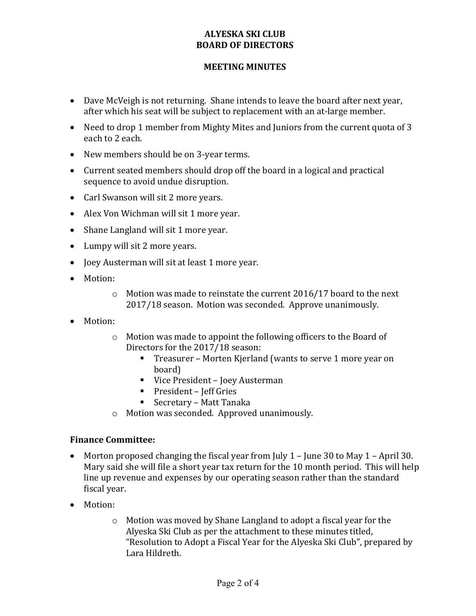### **MEETING MINUTES**

- Dave McVeigh is not returning. Shane intends to leave the board after next year, after which his seat will be subject to replacement with an at-large member.
- Need to drop 1 member from Mighty Mites and Juniors from the current quota of 3 each to 2 each.
- New members should be on 3-year terms.
- Current seated members should drop off the board in a logical and practical sequence to avoid undue disruption.
- Carl Swanson will sit 2 more years.
- Alex Von Wichman will sit 1 more year.
- Shane Langland will sit 1 more year.
- Lumpy will sit 2 more years.
- Joey Austerman will sit at least 1 more year.
- Motion:
	- $\circ$  Motion was made to reinstate the current 2016/17 board to the next 2017/18 season. Motion was seconded. Approve unanimously.
- Motion:
	- $\circ$  Motion was made to appoint the following officers to the Board of Directors for the 2017/18 season:
		- Treasurer Morten Kjerland (wants to serve 1 more year on board)
		- Vice President Joey Austerman
		- President Jeff Gries
		- Secretary Matt Tanaka
	- $\circ$  Motion was seconded. Approved unanimously.

#### **Finance Committee:**

- Morton proposed changing the fiscal year from July  $1 -$  June 30 to May  $1 -$  April 30. Mary said she will file a short year tax return for the 10 month period. This will help line up revenue and expenses by our operating season rather than the standard fiscal year.
- Motion:
	- $\circ$  Motion was moved by Shane Langland to adopt a fiscal year for the Alyeska Ski Club as per the attachment to these minutes titled, "Resolution to Adopt a Fiscal Year for the Alyeska Ski Club", prepared by Lara Hildreth.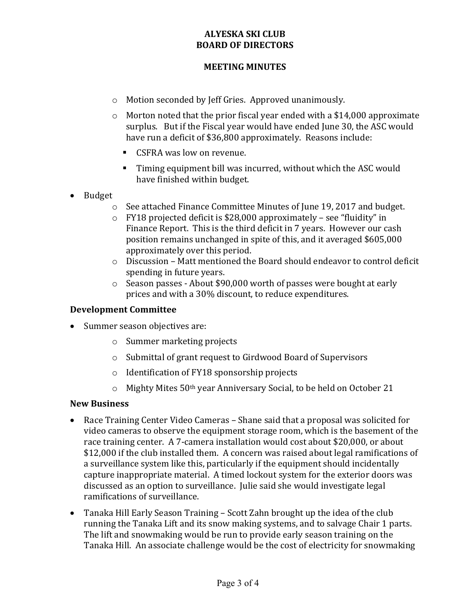### **MEETING MINUTES**

- o Motion seconded by Jeff Gries. Approved unanimously.
- $\circ$  Morton noted that the prior fiscal year ended with a \$14,000 approximate surplus. But if the Fiscal year would have ended June 30, the ASC would have run a deficit of \$36,800 approximately. Reasons include:
	- CSFRA was low on revenue.
	- Timing equipment bill was incurred, without which the ASC would have finished within budget.
- Budget
	- o See attached Finance Committee Minutes of June 19, 2017 and budget.
	- $\circ$  FY18 projected deficit is \$28,000 approximately see "fluidity" in Finance Report. This is the third deficit in 7 years. However our cash position remains unchanged in spite of this, and it averaged \$605,000 approximately over this period.
	- $\circ$  Discussion Matt mentioned the Board should endeavor to control deficit spending in future years.
	- $\circ$  Season passes About \$90,000 worth of passes were bought at early prices and with a 30% discount, to reduce expenditures.

## **Development Committee**

- Summer season objectives are:
	- o Summer marketing projects
	- $\circ$  Submittal of grant request to Girdwood Board of Supervisors
	- $\circ$  Identification of FY18 sponsorship projects
	- $\circ$  Mighty Mites 50<sup>th</sup> year Anniversary Social, to be held on October 21

### **New Business**

- Race Training Center Video Cameras Shane said that a proposal was solicited for video cameras to observe the equipment storage room, which is the basement of the race training center. A 7-camera installation would cost about \$20,000, or about \$12,000 if the club installed them. A concern was raised about legal ramifications of a surveillance system like this, particularly if the equipment should incidentally capture inappropriate material. A timed lockout system for the exterior doors was discussed as an option to surveillance. Julie said she would investigate legal ramifications of surveillance.
- Tanaka Hill Early Season Training Scott Zahn brought up the idea of the club running the Tanaka Lift and its snow making systems, and to salvage Chair 1 parts. The lift and snowmaking would be run to provide early season training on the Tanaka Hill. An associate challenge would be the cost of electricity for snowmaking